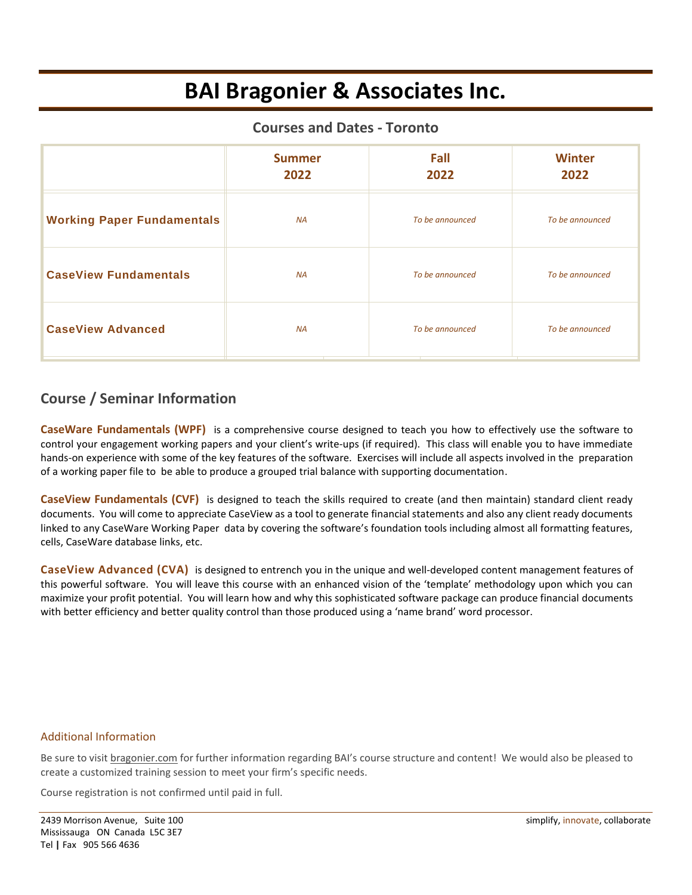# **BAI Bragonier & Associates Inc.**

#### **Courses and Dates - Toronto**

|                                   | <b>Summer</b><br>2022 | Fall<br>2022    | <b>Winter</b><br>2022 |
|-----------------------------------|-----------------------|-----------------|-----------------------|
| <b>Working Paper Fundamentals</b> | <b>NA</b>             | To be announced | To be announced       |
| <b>CaseView Fundamentals</b>      | <b>NA</b>             | To be announced | To be announced       |
| <b>CaseView Advanced</b>          | <b>NA</b>             | To be announced | To be announced       |

### **Course / Seminar Information**

**CaseWare Fundamentals (WPF)** is a comprehensive course designed to teach you how to effectively use the software to control your engagement working papers and your client's write-ups (if required). This class will enable you to have immediate hands-on experience with some of the key features of the software. Exercises will include all aspects involved in the preparation of a working paper file to be able to produce a grouped trial balance with supporting documentation.

**CaseView Fundamentals (CVF)** is designed to teach the skills required to create (and then maintain) standard client ready documents. You will come to appreciate CaseView as a tool to generate financial statements and also any client ready documents linked to any CaseWare Working Paper data by covering the software's foundation tools including almost all formatting features, cells, CaseWare database links, etc.

**CaseView Advanced (CVA)** is designed to entrench you in the unique and well-developed content management features of this powerful software. You will leave this course with an enhanced vision of the 'template' methodology upon which you can maximize your profit potential. You will learn how and why this sophisticated software package can produce financial documents with better efficiency and better quality control than those produced using a 'name brand' word processor.

#### Additional Information

Be sure to visi[t bragonier.com](http://www.bragonier.com/) for further information regarding BAI's course structure and content! We would also be pleased to create a customized training session to meet your firm's specific needs.

Course registration is not confirmed until paid in full.